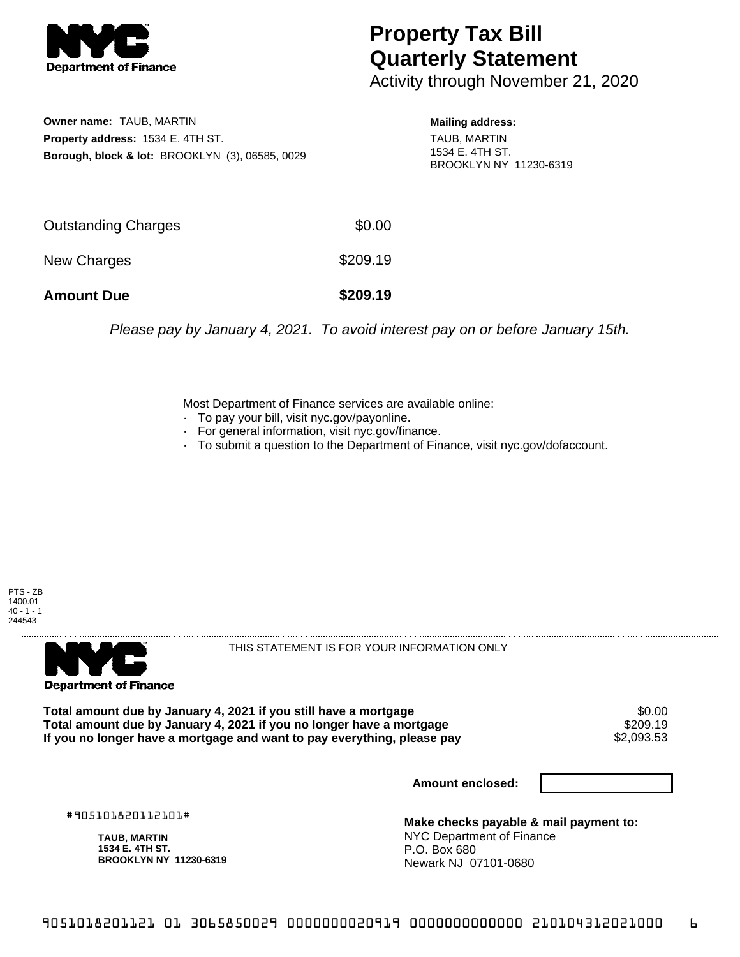

## **Property Tax Bill Quarterly Statement**

Activity through November 21, 2020

**Owner name:** TAUB, MARTIN **Property address:** 1534 E. 4TH ST. **Borough, block & lot:** BROOKLYN (3), 06585, 0029

**Mailing address:** TAUB, MARTIN 1534 E. 4TH ST. BROOKLYN NY 11230-6319

| <b>Amount Due</b>   | \$209.19 |
|---------------------|----------|
| New Charges         | \$209.19 |
| Outstanding Charges | \$0.00   |

Please pay by January 4, 2021. To avoid interest pay on or before January 15th.

Most Department of Finance services are available online:

- · To pay your bill, visit nyc.gov/payonline.
- For general information, visit nyc.gov/finance.
- · To submit a question to the Department of Finance, visit nyc.gov/dofaccount.

PTS - ZB 1400.01  $40 - 1 - 1$ 244543



THIS STATEMENT IS FOR YOUR INFORMATION ONLY

Total amount due by January 4, 2021 if you still have a mortgage \$0.00<br>Total amount due by January 4, 2021 if you no longer have a mortgage \$209.19 **Total amount due by January 4, 2021 if you no longer have a mortgage \$209.19<br>If you no longer have a mortgage and want to pay everything, please pay \$2,093.53** If you no longer have a mortgage and want to pay everything, please pay

**Amount enclosed:**

#905101820112101#

**TAUB, MARTIN 1534 E. 4TH ST. BROOKLYN NY 11230-6319**

**Make checks payable & mail payment to:** NYC Department of Finance P.O. Box 680 Newark NJ 07101-0680